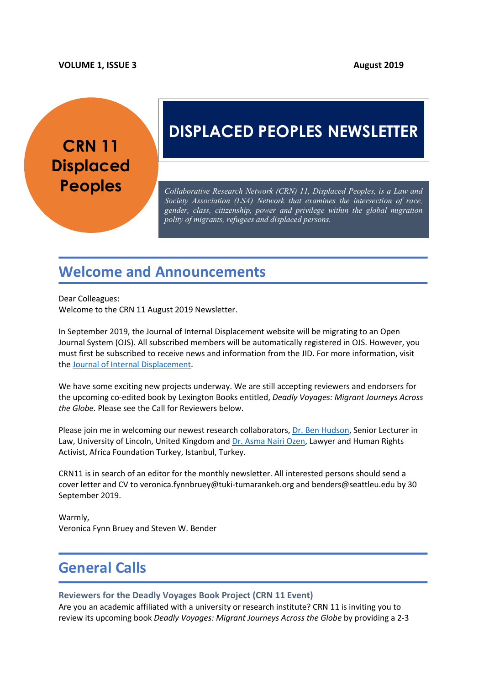#### **VOLUME 1, ISSUE 3 August 2019**

# **CRN 11 Displaced**

# **DISPLACED PEOPLES NEWSLETTER**

**Peoples** *Collaborative Research Network (CRN) 11, Displaced Peoples, is a Law and Society Association (LSA) Network that examines the intersection of race, gender, class, citizenship, power and privilege within the global migration polity of migrants, refugees and displaced persons.*

# **Welcome and Announcements**

Dear Colleagues: Welcome to the CRN 11 August 2019 Newsletter.

In September 2019, the Journal of Internal Displacement website will be migrating to an Open Journal System (OJS). All subscribed members will be automatically registered in OJS. However, you must first be subscribed to receive news and information from the JID. For more information, visit the Journal of Internal Displacement.

We have some exciting new projects underway. We are still accepting reviewers and endorsers for the upcoming co-edited book by Lexington Books entitled, *Deadly Voyages: Migrant Journeys Across the Globe.* Please see the Call for Reviewers below.

Please join me in welcoming our newest research collaborators, Dr. Ben Hudson, Senior Lecturer in Law, University of Lincoln, United Kingdom and Dr. Asma Nairi Ozen, Lawyer and Human Rights Activist, Africa Foundation Turkey, Istanbul, Turkey.

CRN11 is in search of an editor for the monthly newsletter. All interested persons should send a cover letter and CV to veronica.fynnbruey@tuki-tumarankeh.org and benders@seattleu.edu by 30 September 2019.

Warmly, Veronica Fynn Bruey and Steven W. Bender

# **General Calls**

#### **Reviewers for the Deadly Voyages Book Project (CRN 11 Event)**

Are you an academic affiliated with a university or research institute? CRN 11 is inviting you to review its upcoming book *Deadly Voyages: Migrant Journeys Across the Globe* by providing a 2-3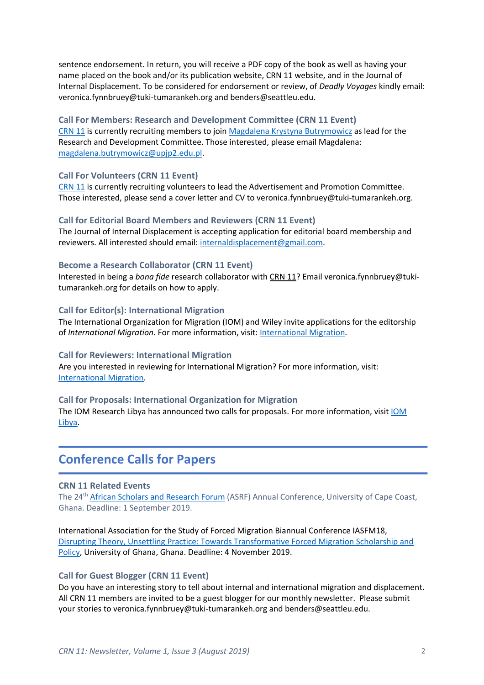sentence endorsement. In return, you will receive a PDF copy of the book as well as having your name placed on the book and/or its publication website, CRN 11 website, and in the Journal of Internal Displacement. To be considered for endorsement or review, of *Deadly Voyages* kindly email: veronica.fynnbruey@tuki-tumarankeh.org and benders@seattleu.edu.

#### **Call For Members: Research and Development Committee (CRN 11 Event)**

CRN 11 is currently recruiting members to join Magdalena Krystyna Butrymowicz as lead for the Research and Development Committee. Those interested, please email Magdalena: magdalena.butrymowicz@upjp2.edu.pl.

#### **Call For Volunteers (CRN 11 Event)**

CRN 11 is currently recruiting volunteers to lead the Advertisement and Promotion Committee. Those interested, please send a cover letter and CV to veronica.fynnbruey@tuki-tumarankeh.org.

#### **Call for Editorial Board Members and Reviewers (CRN 11 Event)**

The Journal of Internal Displacement is accepting application for editorial board membership and reviewers. All interested should email: internaldisplacement@gmail.com.

#### **Become a Research Collaborator (CRN 11 Event)**

Interested in being a *bona fide* research collaborator with CRN 11? Email veronica.fynnbruey@tukitumarankeh.org for details on how to apply.

#### **Call for Editor(s): International Migration**

The International Organization for Migration (IOM) and Wiley invite applications for the editorship of *International Migration*. For more information, visit: International Migration.

#### **Call for Reviewers: International Migration**

Are you interested in reviewing for International Migration? For more information, visit: International Migration.

#### **Call for Proposals: International Organization for Migration**

The IOM Research Libya has announced two calls for proposals. For more information, visit IOM Libya.

## **Conference Calls for Papers**

#### **CRN 11 Related Events**

The 24<sup>th</sup> African Scholars and Research Forum (ASRF) Annual Conference, University of Cape Coast, Ghana. Deadline: 1 September 2019.

International Association for the Study of Forced Migration Biannual Conference IASFM18, Disrupting Theory, Unsettling Practice: Towards Transformative Forced Migration Scholarship and Policy, University of Ghana, Ghana. Deadline: 4 November 2019.

#### **Call for Guest Blogger (CRN 11 Event)**

Do you have an interesting story to tell about internal and international migration and displacement. All CRN 11 members are invited to be a guest blogger for our monthly newsletter. Please submit your stories to veronica.fynnbruey@tuki-tumarankeh.org and benders@seattleu.edu.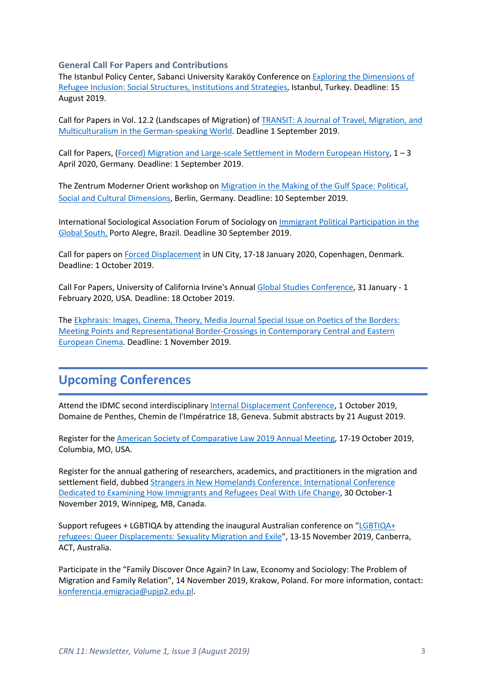**General Call For Papers and Contributions**

The Istanbul Policy Center, Sabanci University Karaköy Conference on Exploring the Dimensions of Refugee Inclusion: Social Structures, Institutions and Strategies, Istanbul, Turkey. Deadline: 15 August 2019.

Call for Papers in Vol. 12.2 (Landscapes of Migration) of TRANSIT: A Journal of Travel, Migration, and Multiculturalism in the German-speaking World. Deadline 1 September 2019.

Call for Papers, (Forced) Migration and Large-scale Settlement in Modern European History, 1 – 3 April 2020, Germany. Deadline: 1 September 2019.

The Zentrum Moderner Orient workshop on Migration in the Making of the Gulf Space: Political, Social and Cultural Dimensions, Berlin, Germany. Deadline: 10 September 2019.

International Sociological Association Forum of Sociology on Immigrant Political Participation in the Global South, Porto Alegre, Brazil. Deadline 30 September 2019.

Call for papers on Forced Displacement in UN City, 17-18 January 2020, Copenhagen, Denmark. Deadline: 1 October 2019.

Call For Papers, University of California Irvine's Annual Global Studies Conference, 31 January - 1 February 2020, USA. Deadline: 18 October 2019.

The Ekphrasis: Images, Cinema, Theory, Media Journal Special Issue on Poetics of the Borders: Meeting Points and Representational Border-Crossings in Contemporary Central and Eastern European Cinema. Deadline: 1 November 2019.

# **Upcoming Conferences**

Attend the IDMC second interdisciplinary Internal Displacement Conference, 1 October 2019, Domaine de Penthes, Chemin de l'Impératrice 18, Geneva. Submit abstracts by 21 August 2019.

Register for the American Society of Comparative Law 2019 Annual Meeting, 17-19 October 2019, Columbia, MO, USA.

Register for the annual gathering of researchers, academics, and practitioners in the migration and settlement field, dubbed Strangers in New Homelands Conference: International Conference Dedicated to Examining How Immigrants and Refugees Deal With Life Change, 30 October-1 November 2019, Winnipeg, MB, Canada.

Support refugees + LGBTIQA by attending the inaugural Australian conference on "LGBTIQA+ refugees: Queer Displacements: Sexuality Migration and Exile", 13-15 November 2019, Canberra, ACT, Australia.

Participate in the "Family Discover Once Again? In Law, Economy and Sociology: The Problem of Migration and Family Relation", 14 November 2019, Krakow, Poland. For more information, contact: konferencja.emigracja@upjp2.edu.pl.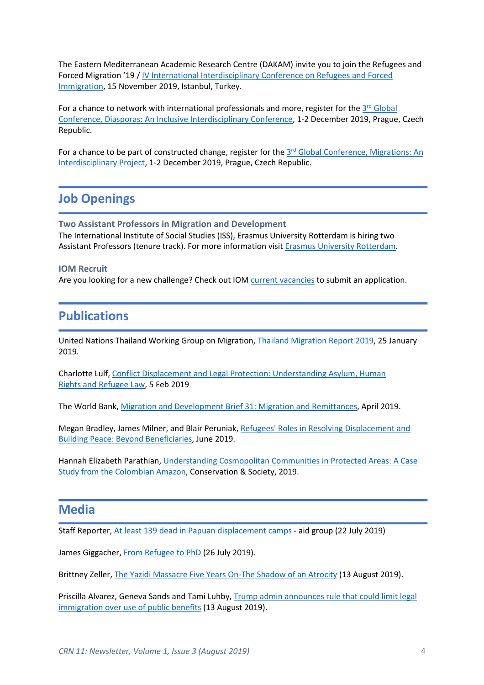The Eastern Mediterranean Academic Research Centre (DAKAM) invite you to join the Refugees and Forced Migration '19 / IV International Interdisciplinary Conference on Refugees and Forced Immigration, 15 November 2019, Istanbul, Turkey.

For a chance to network with international professionals and more, register for the  $3<sup>rd</sup>$  Global Conference, Diasporas: An Inclusive Interdisciplinary Conference, 1-2 December 2019, Prague, Czech Republic.

For a chance to be part of constructed change, register for the 3<sup>rd</sup> Global Conference, Migrations: An Interdisciplinary Project, 1-2 December 2019, Prague, Czech Republic.

### **Job Openings**

**Two Assistant Professors in Migration and Development** The International Institute of Social Studies (ISS), Erasmus University Rotterdam is hiring two Assistant Professors (tenure track). For more information visit Erasmus University Rotterdam.

#### **IOM Recruit**

Are you looking for a new challenge? Check out IOM current vacancies to submit an application.

### **Publications**

United Nations Thailand Working Group on Migration, Thailand Migration Report 2019, 25 January 2019.

Charlotte Lulf, Conflict Displacement and Legal Protection: Understanding Asylum, Human Rights and Refugee Law, 5 Feb 2019

The World Bank, Migration and Development Brief 31: Migration and Remittances, April 2019.

Megan Bradley, James Milner, and Blair Peruniak, Refugees' Roles in Resolving Displacement and Building Peace: Beyond Beneficiaries, June 2019.

Hannah Elizabeth Parathian, Understanding Cosmopolitan Communities in Protected Areas: A Case Study from the Colombian Amazon, Conservation & Society, 2019.

### **Media**

Staff Reporter, At least 139 dead in Papuan displacement camps - aid group (22 July 2019)

James Giggacher, From Refugee to PhD (26 July 2019).

Brittney Zeller, The Yazidi Massacre Five Years On-The Shadow of an Atrocity (13 August 2019).

Priscilla Alvarez, Geneva Sands and Tami Luhby, Trump admin announces rule that could limit legal immigration over use of public benefits (13 August 2019).